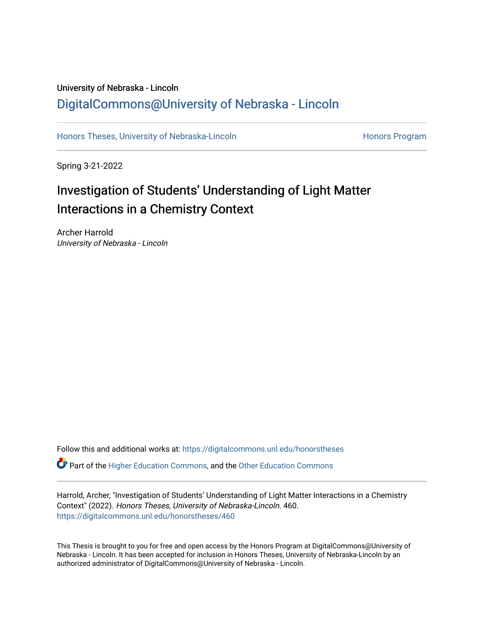# University of Nebraska - Lincoln [DigitalCommons@University of Nebraska - Lincoln](https://digitalcommons.unl.edu/)

[Honors Theses, University of Nebraska-Lincoln](https://digitalcommons.unl.edu/honorstheses) **Honors Program** Honors Program

Spring 3-21-2022

# Investigation of Students' Understanding of Light Matter Interactions in a Chemistry Context

Archer Harrold University of Nebraska - Lincoln

Follow this and additional works at: [https://digitalcommons.unl.edu/honorstheses](https://digitalcommons.unl.edu/honorstheses?utm_source=digitalcommons.unl.edu%2Fhonorstheses%2F460&utm_medium=PDF&utm_campaign=PDFCoverPages)

Part of the [Higher Education Commons,](http://network.bepress.com/hgg/discipline/1245?utm_source=digitalcommons.unl.edu%2Fhonorstheses%2F460&utm_medium=PDF&utm_campaign=PDFCoverPages) and the [Other Education Commons](http://network.bepress.com/hgg/discipline/811?utm_source=digitalcommons.unl.edu%2Fhonorstheses%2F460&utm_medium=PDF&utm_campaign=PDFCoverPages) 

Harrold, Archer, "Investigation of Students' Understanding of Light Matter Interactions in a Chemistry Context" (2022). Honors Theses, University of Nebraska-Lincoln. 460. [https://digitalcommons.unl.edu/honorstheses/460](https://digitalcommons.unl.edu/honorstheses/460?utm_source=digitalcommons.unl.edu%2Fhonorstheses%2F460&utm_medium=PDF&utm_campaign=PDFCoverPages)

This Thesis is brought to you for free and open access by the Honors Program at DigitalCommons@University of Nebraska - Lincoln. It has been accepted for inclusion in Honors Theses, University of Nebraska-Lincoln by an authorized administrator of DigitalCommons@University of Nebraska - Lincoln.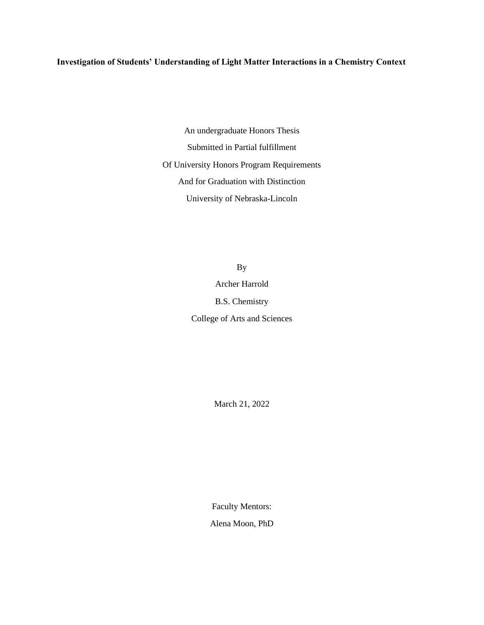# **Investigation of Students' Understanding of Light Matter Interactions in a Chemistry Context**

An undergraduate Honors Thesis Submitted in Partial fulfillment Of University Honors Program Requirements And for Graduation with Distinction University of Nebraska-Lincoln

> By Archer Harrold B.S. Chemistry College of Arts and Sciences

> > March 21, 2022

Faculty Mentors:

Alena Moon, PhD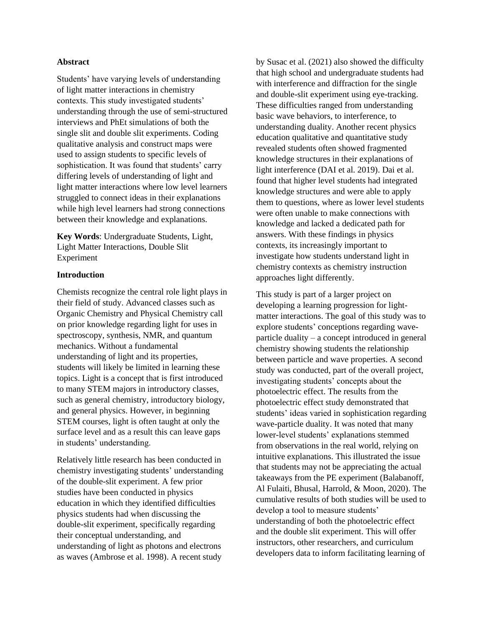#### **Abstract**

Students' have varying levels of understanding of light matter interactions in chemistry contexts. This study investigated students' understanding through the use of semi-structured interviews and PhEt simulations of both the single slit and double slit experiments. Coding qualitative analysis and construct maps were used to assign students to specific levels of sophistication. It was found that students' carry differing levels of understanding of light and light matter interactions where low level learners struggled to connect ideas in their explanations while high level learners had strong connections between their knowledge and explanations.

**Key Words**: Undergraduate Students, Light, Light Matter Interactions, Double Slit Experiment

#### **Introduction**

Chemists recognize the central role light plays in their field of study. Advanced classes such as Organic Chemistry and Physical Chemistry call on prior knowledge regarding light for uses in spectroscopy, synthesis, NMR, and quantum mechanics. Without a fundamental understanding of light and its properties, students will likely be limited in learning these topics. Light is a concept that is first introduced to many STEM majors in introductory classes, such as general chemistry, introductory biology, and general physics. However, in beginning STEM courses, light is often taught at only the surface level and as a result this can leave gaps in students' understanding.

Relatively little research has been conducted in chemistry investigating students' understanding of the double-slit experiment. A few prior studies have been conducted in physics education in which they identified difficulties physics students had when discussing the double-slit experiment, specifically regarding their conceptual understanding, and understanding of light as photons and electrons as waves (Ambrose et al. 1998). A recent study

by Susac et al. (2021) also showed the difficulty that high school and undergraduate students had with interference and diffraction for the single and double-slit experiment using eye-tracking. These difficulties ranged from understanding basic wave behaviors, to interference, to understanding duality. Another recent physics education qualitative and quantitative study revealed students often showed fragmented knowledge structures in their explanations of light interference (DAI et al. 2019). Dai et al. found that higher level students had integrated knowledge structures and were able to apply them to questions, where as lower level students were often unable to make connections with knowledge and lacked a dedicated path for answers. With these findings in physics contexts, its increasingly important to investigate how students understand light in chemistry contexts as chemistry instruction approaches light differently.

This study is part of a larger project on developing a learning progression for lightmatter interactions. The goal of this study was to explore students' conceptions regarding waveparticle duality – a concept introduced in general chemistry showing students the relationship between particle and wave properties. A second study was conducted, part of the overall project, investigating students' concepts about the photoelectric effect. The results from the photoelectric effect study demonstrated that students' ideas varied in sophistication regarding wave-particle duality. It was noted that many lower-level students' explanations stemmed from observations in the real world, relying on intuitive explanations. This illustrated the issue that students may not be appreciating the actual takeaways from the PE experiment (Balabanoff, Al Fulaiti, Bhusal, Harrold, & Moon, 2020). The cumulative results of both studies will be used to develop a tool to measure students' understanding of both the photoelectric effect and the double slit experiment. This will offer instructors, other researchers, and curriculum developers data to inform facilitating learning of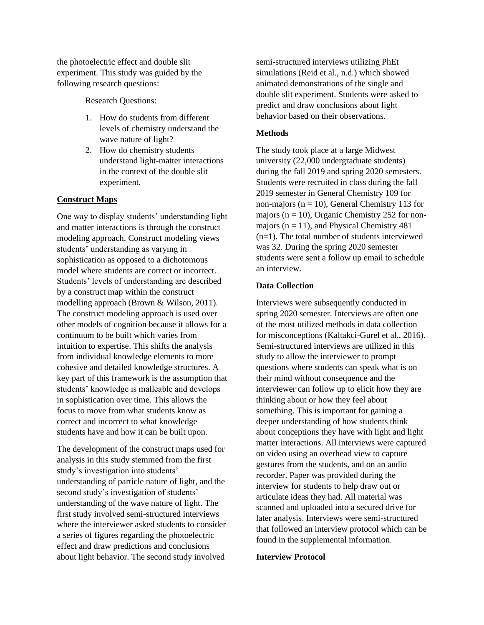the photoelectric effect and double slit experiment. This study was guided by the following research questions:

Research Questions:

- 1. How do students from different levels of chemistry understand the wave nature of light?
- 2. How do chemistry students understand light-matter interactions in the context of the double slit experiment.

### **Construct Maps**

One way to display students' understanding light and matter interactions is through the construct modeling approach. Construct modeling views students' understanding as varying in sophistication as opposed to a dichotomous model where students are correct or incorrect. Students' levels of understanding are described by a construct map within the construct modelling approach (Brown & Wilson, 2011). The construct modeling approach is used over other models of cognition because it allows for a continuum to be built which varies from intuition to expertise. This shifts the analysis from individual knowledge elements to more cohesive and detailed knowledge structures. A key part of this framework is the assumption that students' knowledge is malleable and develops in sophistication over time. This allows the focus to move from what students know as correct and incorrect to what knowledge students have and how it can be built upon.

The development of the construct maps used for analysis in this study stemmed from the first study's investigation into students' understanding of particle nature of light, and the second study's investigation of students' understanding of the wave nature of light. The first study involved semi-structured interviews where the interviewer asked students to consider a series of figures regarding the photoelectric effect and draw predictions and conclusions about light behavior. The second study involved

semi-structured interviews utilizing PhEt simulations (Reid et al., n.d.) which showed animated demonstrations of the single and double slit experiment. Students were asked to predict and draw conclusions about light behavior based on their observations.

#### **Methods**

The study took place at a large Midwest university (22,000 undergraduate students) during the fall 2019 and spring 2020 semesters. Students were recruited in class during the fall 2019 semester in General Chemistry 109 for non-majors ( $n = 10$ ), General Chemistry 113 for majors ( $n = 10$ ), Organic Chemistry 252 for nonmajors ( $n = 11$ ), and Physical Chemistry 481 (n=1). The total number of students interviewed was 32. During the spring 2020 semester students were sent a follow up email to schedule an interview.

#### **Data Collection**

Interviews were subsequently conducted in spring 2020 semester. Interviews are often one of the most utilized methods in data collection for misconceptions (Kaltakci-Gurel et al., 2016). Semi-structured interviews are utilized in this study to allow the interviewer to prompt questions where students can speak what is on their mind without consequence and the interviewer can follow up to elicit how they are thinking about or how they feel about something. This is important for gaining a deeper understanding of how students think about conceptions they have with light and light matter interactions. All interviews were captured on video using an overhead view to capture gestures from the students, and on an audio recorder. Paper was provided during the interview for students to help draw out or articulate ideas they had. All material was scanned and uploaded into a secured drive for later analysis. Interviews were semi-structured that followed an interview protocol which can be found in the supplemental information.

#### **Interview Protocol**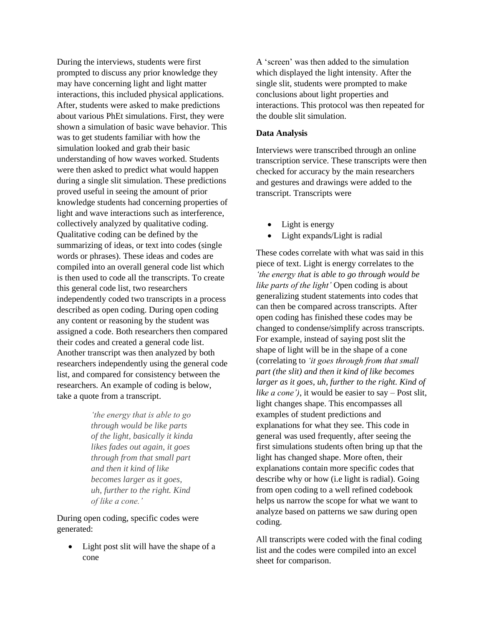During the interviews, students were first prompted to discuss any prior knowledge they may have concerning light and light matter interactions, this included physical applications. After, students were asked to make predictions about various PhEt simulations. First, they were shown a simulation of basic wave behavior. This was to get students familiar with how the simulation looked and grab their basic understanding of how waves worked. Students were then asked to predict what would happen during a single slit simulation. These predictions proved useful in seeing the amount of prior knowledge students had concerning properties of light and wave interactions such as interference, collectively analyzed by qualitative coding. Qualitative coding can be defined by the summarizing of ideas, or text into codes (single words or phrases). These ideas and codes are compiled into an overall general code list which is then used to code all the transcripts. To create this general code list, two researchers independently coded two transcripts in a process described as open coding. During open coding any content or reasoning by the student was assigned a code. Both researchers then compared their codes and created a general code list. Another transcript was then analyzed by both researchers independently using the general code list, and compared for consistency between the researchers. An example of coding is below, take a quote from a transcript.

> *'the energy that is able to go through would be like parts of the light, basically it kinda likes fades out again, it goes through from that small part and then it kind of like becomes larger as it goes, uh, further to the right. Kind of like a cone.'*

During open coding, specific codes were generated:

Light post slit will have the shape of a cone

A 'screen' was then added to the simulation which displayed the light intensity. After the single slit, students were prompted to make conclusions about light properties and interactions. This protocol was then repeated for the double slit simulation.

#### **Data Analysis**

Interviews were transcribed through an online transcription service. These transcripts were then checked for accuracy by the main researchers and gestures and drawings were added to the transcript. Transcripts were

- Light is energy
- Light expands/Light is radial

These codes correlate with what was said in this piece of text. Light is energy correlates to the *'the energy that is able to go through would be like parts of the light'* Open coding is about generalizing student statements into codes that can then be compared across transcripts. After open coding has finished these codes may be changed to condense/simplify across transcripts. For example, instead of saying post slit the shape of light will be in the shape of a cone (correlating to *'it goes through from that small part (the slit) and then it kind of like becomes larger as it goes, uh, further to the right. Kind of like a cone')*, it would be easier to say – Post slit, light changes shape. This encompasses all examples of student predictions and explanations for what they see. This code in general was used frequently, after seeing the first simulations students often bring up that the light has changed shape. More often, their explanations contain more specific codes that describe why or how (i.e light is radial). Going from open coding to a well refined codebook helps us narrow the scope for what we want to analyze based on patterns we saw during open coding.

All transcripts were coded with the final coding list and the codes were compiled into an excel sheet for comparison.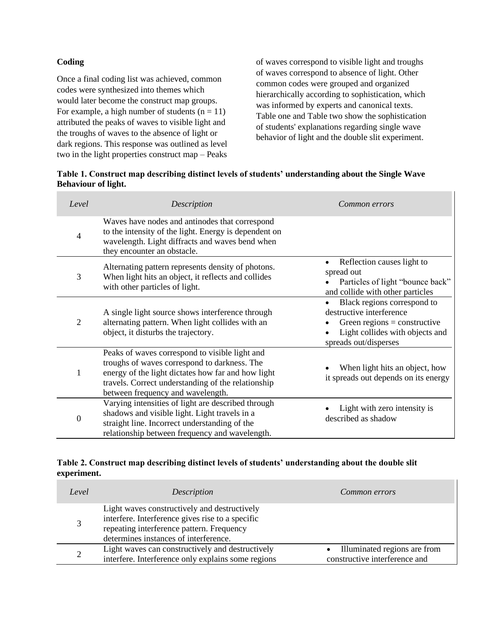# **Coding**

Once a final coding list was achieved, common codes were synthesized into themes which would later become the construct map groups. For example, a high number of students  $(n = 11)$ attributed the peaks of waves to visible light and the troughs of waves to the absence of light or dark regions. This response was outlined as level two in the light properties construct map – Peaks of waves correspond to visible light and troughs of waves correspond to absence of light. Other common codes were grouped and organized hierarchically according to sophistication, which was informed by experts and canonical texts. Table one and Table two show the sophistication of students' explanations regarding single wave behavior of light and the double slit experiment.

| Table 1. Construct map describing distinct levels of students' understanding about the Single Wave |  |
|----------------------------------------------------------------------------------------------------|--|
| <b>Behaviour of light.</b>                                                                         |  |

| Level | Description                                                                                                                                                                                                                                     | Common errors                                                                                                                                       |
|-------|-------------------------------------------------------------------------------------------------------------------------------------------------------------------------------------------------------------------------------------------------|-----------------------------------------------------------------------------------------------------------------------------------------------------|
| 4     | Waves have nodes and antinodes that correspond<br>to the intensity of the light. Energy is dependent on<br>wavelength. Light diffracts and waves bend when<br>they encounter an obstacle.                                                       |                                                                                                                                                     |
| 3     | Alternating pattern represents density of photons.<br>When light hits an object, it reflects and collides<br>with other particles of light.                                                                                                     | Reflection causes light to<br>spread out<br>Particles of light "bounce back"<br>and collide with other particles                                    |
| 2     | A single light source shows interference through<br>alternating pattern. When light collides with an<br>object, it disturbs the trajectory.                                                                                                     | Black regions correspond to<br>destructive interference<br>Green regions = constructive<br>Light collides with objects and<br>spreads out/disperses |
| 1     | Peaks of waves correspond to visible light and<br>troughs of waves correspond to darkness. The<br>energy of the light dictates how far and how light<br>travels. Correct understanding of the relationship<br>between frequency and wavelength. | When light hits an object, how<br>it spreads out depends on its energy                                                                              |
| 0     | Varying intensities of light are described through<br>shadows and visible light. Light travels in a<br>straight line. Incorrect understanding of the<br>relationship between frequency and wavelength.                                          | Light with zero intensity is<br>described as shadow                                                                                                 |

# **Table 2. Construct map describing distinct levels of students' understanding about the double slit experiment.**

| Level | Description                                                                                                                                                                            | Common errors                                                 |
|-------|----------------------------------------------------------------------------------------------------------------------------------------------------------------------------------------|---------------------------------------------------------------|
|       | Light waves constructively and destructively<br>interfere. Interference gives rise to a specific<br>repeating interference pattern. Frequency<br>determines instances of interference. |                                                               |
|       | Light waves can constructively and destructively<br>interfere. Interference only explains some regions                                                                                 | Illuminated regions are from<br>constructive interference and |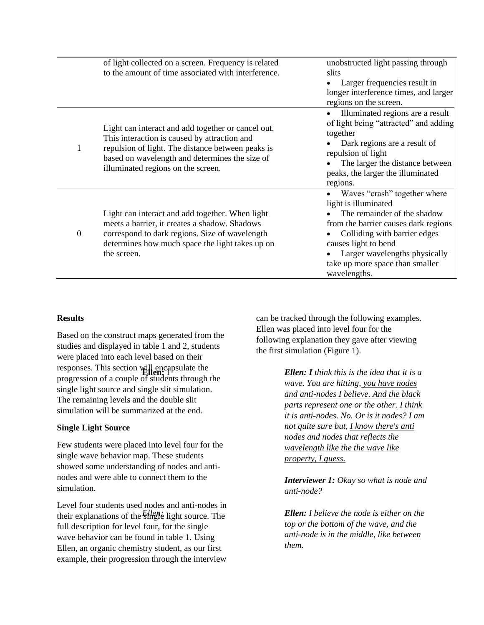|   | of light collected on a screen. Frequency is related<br>to the amount of time associated with interference.                                                                                                                                     | unobstructed light passing through<br>slits<br>Larger frequencies result in<br>longer interference times, and larger<br>regions on the screen.                                                                                                                          |
|---|-------------------------------------------------------------------------------------------------------------------------------------------------------------------------------------------------------------------------------------------------|-------------------------------------------------------------------------------------------------------------------------------------------------------------------------------------------------------------------------------------------------------------------------|
| 1 | Light can interact and add together or cancel out.<br>This interaction is caused by attraction and<br>repulsion of light. The distance between peaks is<br>based on wavelength and determines the size of<br>illuminated regions on the screen. | Illuminated regions are a result<br>of light being "attracted" and adding<br>together<br>Dark regions are a result of<br>repulsion of light<br>The larger the distance between<br>peaks, the larger the illuminated<br>regions.                                         |
| 0 | Light can interact and add together. When light<br>meets a barrier, it creates a shadow. Shadows<br>correspond to dark regions. Size of wavelength<br>determines how much space the light takes up on<br>the screen.                            | Waves "crash" together where<br>light is illuminated<br>The remainder of the shadow<br>from the barrier causes dark regions<br>Colliding with barrier edges<br>causes light to bend<br>Larger wavelengths physically<br>take up more space than smaller<br>wavelengths. |

### **Results**

Based on the construct maps generated from the studies and displayed in table 1 and 2, students were placed into each level based on their responses. This section will encapsulate the progression of a couple of students through the single light source and single slit simulation. The remaining levels and the double slit simulation will be summarized at the end.

### **Single Light Source**

Few students were placed into level four for the single wave behavior map. These students showed some understanding of nodes and antinodes and were able to connect them to the simulation.

Level four students used nodes and anti-nodes in their explanations of the  $\frac{F}{F}$  light source. The full description for level four, for the single wave behavior can be found in table 1. Using Ellen, an organic chemistry student, as our first example, their progression through the interview can be tracked through the following examples. Ellen was placed into level four for the following explanation they gave after viewing the first simulation (Figure 1).

> **Ellen:** I *Ellen: I think this is the idea that it is a wave. You are hitting, you have nodes and anti-nodes I believe. And the black parts represent one or the other. I think it is anti-nodes. No. Or is it nodes? I am not quite sure but, I know there's anti nodes and nodes that reflects the wavelength like the the wave like property, I guess.*

*Interviewer 1: Okay so what is node and anti-node?*

*Ellen: Ellen: I believe the node is either on the top or the bottom of the wave, and the anti-node is in the middle, like between them.*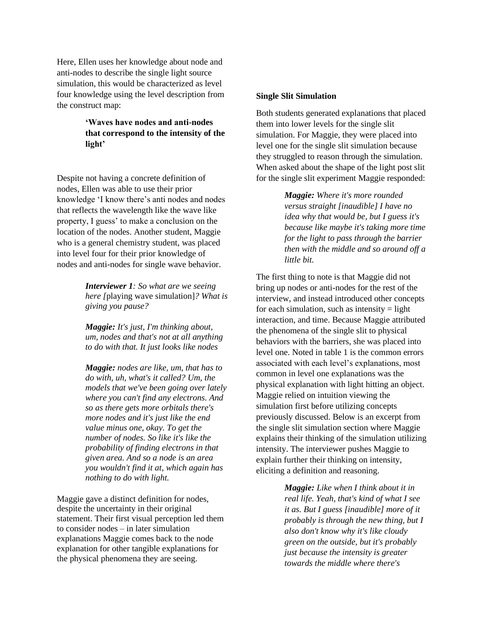Here, Ellen uses her knowledge about node and anti-nodes to describe the single light source simulation, this would be characterized as level four knowledge using the level description from the construct map:

# **'Waves have nodes and anti-nodes that correspond to the intensity of the light'**

Despite not having a concrete definition of nodes, Ellen was able to use their prior knowledge 'I know there's anti nodes and nodes that reflects the wavelength like the wave like property, I guess' to make a conclusion on the location of the nodes. Another student, Maggie who is a general chemistry student, was placed into level four for their prior knowledge of nodes and anti-nodes for single wave behavior.

> *Interviewer 1: So what are we seeing here [*playing wave simulation]*? What is giving you pause?*

*Maggie: It's just, I'm thinking about, um, nodes and that's not at all anything to do with that. It just looks like nodes*

*Maggie: nodes are like, um, that has to do with, uh, what's it called? Um, the models that we've been going over lately where you can't find any electrons. And so as there gets more orbitals there's more nodes and it's just like the end value minus one, okay. To get the number of nodes. So like it's like the probability of finding electrons in that given area. And so a node is an area you wouldn't find it at, which again has nothing to do with light.*

Maggie gave a distinct definition for nodes, despite the uncertainty in their original statement. Their first visual perception led them to consider nodes – in later simulation explanations Maggie comes back to the node explanation for other tangible explanations for the physical phenomena they are seeing.

#### **Single Slit Simulation**

Both students generated explanations that placed them into lower levels for the single slit simulation. For Maggie, they were placed into level one for the single slit simulation because they struggled to reason through the simulation. When asked about the shape of the light post slit for the single slit experiment Maggie responded:

> *Maggie: Where it's more rounded versus straight [inaudible] I have no idea why that would be, but I guess it's because like maybe it's taking more time for the light to pass through the barrier then with the middle and so around off a little bit.*

The first thing to note is that Maggie did not bring up nodes or anti-nodes for the rest of the interview, and instead introduced other concepts for each simulation, such as intensity  $=$  light interaction, and time. Because Maggie attributed the phenomena of the single slit to physical behaviors with the barriers, she was placed into level one. Noted in table 1 is the common errors associated with each level's explanations, most common in level one explanations was the physical explanation with light hitting an object. Maggie relied on intuition viewing the simulation first before utilizing concepts previously discussed. Below is an excerpt from the single slit simulation section where Maggie explains their thinking of the simulation utilizing intensity. The interviewer pushes Maggie to explain further their thinking on intensity, eliciting a definition and reasoning.

> *Maggie: Like when I think about it in real life. Yeah, that's kind of what I see it as. But I guess [inaudible] more of it probably is through the new thing, but I also don't know why it's like cloudy green on the outside, but it's probably just because the intensity is greater towards the middle where there's*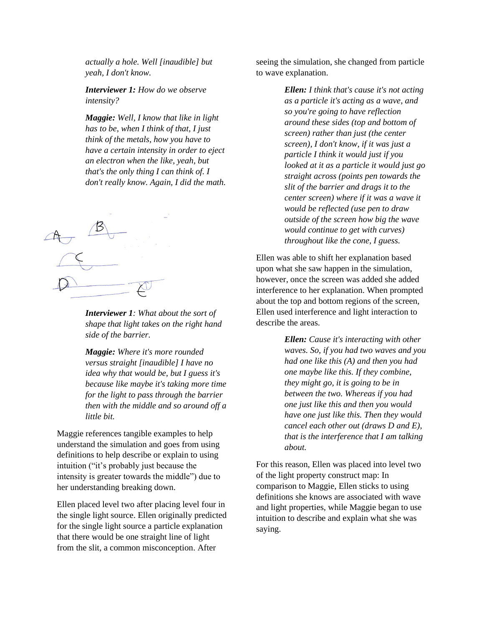*actually a hole. Well [inaudible] but yeah, I don't know.*

*Interviewer 1: How do we observe intensity?*

*Maggie: Well, I know that like in light has to be, when I think of that, I just think of the metals, how you have to have a certain intensity in order to eject an electron when the like, yeah, but that's the only thing I can think of. I don't really know. Again, I did the math.*



*Interviewer 1: What about the sort of shape that light takes on the right hand side of the barrier.*

*Maggie: Where it's more rounded versus straight [inaudible] I have no idea why that would be, but I guess it's because like maybe it's taking more time for the light to pass through the barrier then with the middle and so around off a little bit.*

Maggie references tangible examples to help understand the simulation and goes from using definitions to help describe or explain to using intuition ("it's probably just because the intensity is greater towards the middle") due to her understanding breaking down.

Ellen placed level two after placing level four in the single light source. Ellen originally predicted for the single light source a particle explanation that there would be one straight line of light from the slit, a common misconception. After

seeing the simulation, she changed from particle to wave explanation.

> *Ellen: I think that's cause it's not acting as a particle it's acting as a wave, and so you're going to have reflection around these sides (top and bottom of screen) rather than just (the center screen), I don't know, if it was just a particle I think it would just if you looked at it as a particle it would just go straight across (points pen towards the slit of the barrier and drags it to the center screen) where if it was a wave it would be reflected (use pen to draw outside of the screen how big the wave would continue to get with curves) throughout like the cone, I guess.*

Ellen was able to shift her explanation based upon what she saw happen in the simulation, however, once the screen was added she added interference to her explanation. When prompted about the top and bottom regions of the screen, Ellen used interference and light interaction to describe the areas.

> *Ellen: Cause it's interacting with other waves. So, if you had two waves and you had one like this (A) and then you had one maybe like this. If they combine, they might go, it is going to be in between the two. Whereas if you had one just like this and then you would have one just like this. Then they would cancel each other out (draws D and E), that is the interference that I am talking about.*

For this reason, Ellen was placed into level two of the light property construct map: In comparison to Maggie, Ellen sticks to using definitions she knows are associated with wave and light properties, while Maggie began to use intuition to describe and explain what she was saying.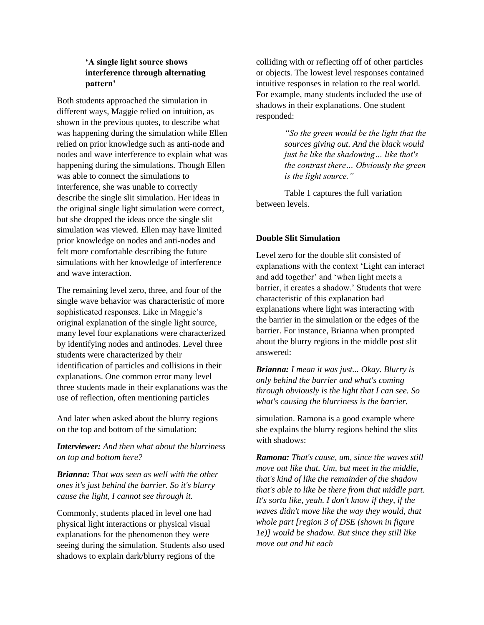# **'A single light source shows interference through alternating pattern'**

Both students approached the simulation in different ways*,* Maggie relied on intuition, as shown in the previous quotes, to describe what was happening during the simulation while Ellen relied on prior knowledge such as anti-node and nodes and wave interference to explain what was happening during the simulations. Though Ellen was able to connect the simulations to interference, she was unable to correctly describe the single slit simulation. Her ideas in the original single light simulation were correct, but she dropped the ideas once the single slit simulation was viewed. Ellen may have limited prior knowledge on nodes and anti-nodes and felt more comfortable describing the future simulations with her knowledge of interference and wave interaction.

The remaining level zero, three, and four of the single wave behavior was characteristic of more sophisticated responses. Like in Maggie's original explanation of the single light source, many level four explanations were characterized by identifying nodes and antinodes. Level three students were characterized by their identification of particles and collisions in their explanations. One common error many level three students made in their explanations was the use of reflection, often mentioning particles

And later when asked about the blurry regions on the top and bottom of the simulation:

*Interviewer: And then what about the blurriness on top and bottom here?*

*Brianna: That was seen as well with the other ones it's just behind the barrier. So it's blurry cause the light, I cannot see through it.*

Commonly, students placed in level one had physical light interactions or physical visual explanations for the phenomenon they were seeing during the simulation. Students also used shadows to explain dark/blurry regions of the

colliding with or reflecting off of other particles or objects. The lowest level responses contained intuitive responses in relation to the real world. For example, many students included the use of shadows in their explanations. One student responded:

> *"So the green would be the light that the sources giving out. And the black would just be like the shadowing… like that's the contrast there… Obviously the green is the light source."*

Table 1 captures the full variation between levels.

### **Double Slit Simulation**

Level zero for the double slit consisted of explanations with the context 'Light can interact and add together' and 'when light meets a barrier, it creates a shadow.' Students that were characteristic of this explanation had explanations where light was interacting with the barrier in the simulation or the edges of the barrier. For instance, Brianna when prompted about the blurry regions in the middle post slit answered:

*Brianna: I mean it was just... Okay. Blurry is only behind the barrier and what's coming through obviously is the light that I can see. So what's causing the blurriness is the barrier.*

simulation. Ramona is a good example where she explains the blurry regions behind the slits with shadows:

*Ramona: That's cause, um, since the waves still move out like that. Um, but meet in the middle, that's kind of like the remainder of the shadow that's able to like be there from that middle part. It's sorta like, yeah. I don't know if they, if the waves didn't move like the way they would, that whole part [region 3 of DSE (shown in figure 1e)] would be shadow. But since they still like move out and hit each*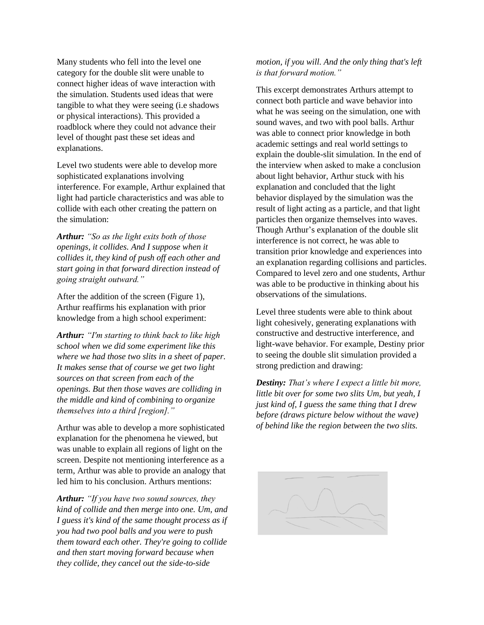Many students who fell into the level one category for the double slit were unable to connect higher ideas of wave interaction with the simulation. Students used ideas that were tangible to what they were seeing (i.e shadows or physical interactions). This provided a roadblock where they could not advance their level of thought past these set ideas and explanations.

Level two students were able to develop more sophisticated explanations involving interference. For example, Arthur explained that light had particle characteristics and was able to collide with each other creating the pattern on the simulation:

*Arthur: "So as the light exits both of those openings, it collides. And I suppose when it collides it, they kind of push off each other and start going in that forward direction instead of going straight outward."*

After the addition of the screen (Figure 1), Arthur reaffirms his explanation with prior knowledge from a high school experiment:

*Arthur: "I'm starting to think back to like high school when we did some experiment like this where we had those two slits in a sheet of paper. It makes sense that of course we get two light sources on that screen from each of the openings. But then those waves are colliding in the middle and kind of combining to organize themselves into a third [region]."*

Arthur was able to develop a more sophisticated explanation for the phenomena he viewed, but was unable to explain all regions of light on the screen. Despite not mentioning interference as a term, Arthur was able to provide an analogy that led him to his conclusion. Arthurs mentions:

*Arthur: "If you have two sound sources, they kind of collide and then merge into one. Um, and I guess it's kind of the same thought process as if you had two pool balls and you were to push them toward each other. They're going to collide and then start moving forward because when they collide, they cancel out the side-to-side* 

# *motion, if you will. And the only thing that's left is that forward motion."*

This excerpt demonstrates Arthurs attempt to connect both particle and wave behavior into what he was seeing on the simulation, one with sound waves, and two with pool balls. Arthur was able to connect prior knowledge in both academic settings and real world settings to explain the double-slit simulation. In the end of the interview when asked to make a conclusion about light behavior, Arthur stuck with his explanation and concluded that the light behavior displayed by the simulation was the result of light acting as a particle, and that light particles then organize themselves into waves. Though Arthur's explanation of the double slit interference is not correct, he was able to transition prior knowledge and experiences into an explanation regarding collisions and particles. Compared to level zero and one students, Arthur was able to be productive in thinking about his observations of the simulations.

Level three students were able to think about light cohesively, generating explanations with constructive and destructive interference, and light-wave behavior. For example, Destiny prior to seeing the double slit simulation provided a strong prediction and drawing:

*Destiny: That's where I expect a little bit more, little bit over for some two slits Um, but yeah, I just kind of, I guess the same thing that I drew before (draws picture below without the wave) of behind like the region between the two slits.* 

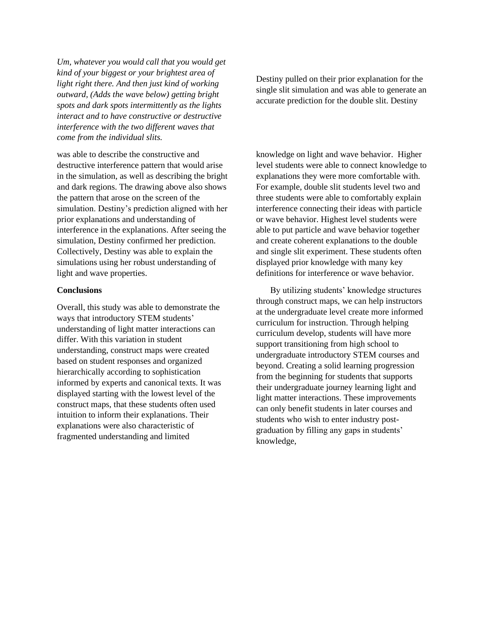*Um, whatever you would call that you would get kind of your biggest or your brightest area of light right there. And then just kind of working outward, (Adds the wave below) getting bright spots and dark spots intermittently as the lights interact and to have constructive or destructive interference with the two different waves that come from the individual slits.*

was able to describe the constructive and destructive interference pattern that would arise in the simulation, as well as describing the bright and dark regions. The drawing above also shows the pattern that arose on the screen of the simulation. Destiny's prediction aligned with her prior explanations and understanding of interference in the explanations. After seeing the simulation, Destiny confirmed her prediction. Collectively, Destiny was able to explain the simulations using her robust understanding of light and wave properties.

#### **Conclusions**

Overall, this study was able to demonstrate the ways that introductory STEM students' understanding of light matter interactions can differ. With this variation in student understanding, construct maps were created based on student responses and organized hierarchically according to sophistication informed by experts and canonical texts. It was displayed starting with the lowest level of the construct maps, that these students often used intuition to inform their explanations. Their explanations were also characteristic of fragmented understanding and limited

Destiny pulled on their prior explanation for the single slit simulation and was able to generate an accurate prediction for the double slit. Destiny

knowledge on light and wave behavior. Higher level students were able to connect knowledge to explanations they were more comfortable with. For example, double slit students level two and three students were able to comfortably explain interference connecting their ideas with particle or wave behavior. Highest level students were able to put particle and wave behavior together and create coherent explanations to the double and single slit experiment. These students often displayed prior knowledge with many key definitions for interference or wave behavior.

By utilizing students' knowledge structures through construct maps, we can help instructors at the undergraduate level create more informed curriculum for instruction. Through helping curriculum develop, students will have more support transitioning from high school to undergraduate introductory STEM courses and beyond. Creating a solid learning progression from the beginning for students that supports their undergraduate journey learning light and light matter interactions. These improvements can only benefit students in later courses and students who wish to enter industry postgraduation by filling any gaps in students' knowledge,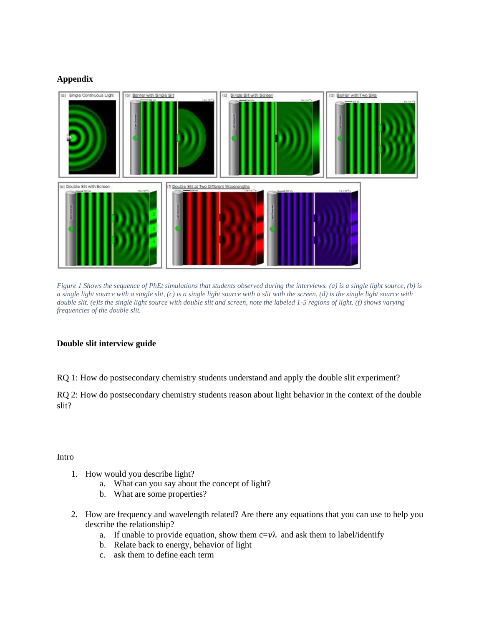# **Appendix**



*Figure 1 Shows the sequence of PhEt simulations that students observed during the interviews. (a) is a single light source, (b) is a single light source with a single slit, (c) is a single light source with a slit with the screen, (d) is the single light source with double slit. (e)is the single light source with double slit and screen, note the labeled 1-5 regions of light. (f) shows varying frequencies of the double slit.*

### **Double slit interview guide**

RQ 1: How do postsecondary chemistry students understand and apply the double slit experiment?

RQ 2: How do postsecondary chemistry students reason about light behavior in the context of the double slit?

# Intro

- 1. How would you describe light?
	- a. What can you say about the concept of light?
	- b. What are some properties?
- 2. How are frequency and wavelength related? Are there any equations that you can use to help you describe the relationship?
	- a. If unable to provide equation, show them  $c = v\lambda$  and ask them to label/identify
	- b. Relate back to energy, behavior of light
	- c. ask them to define each term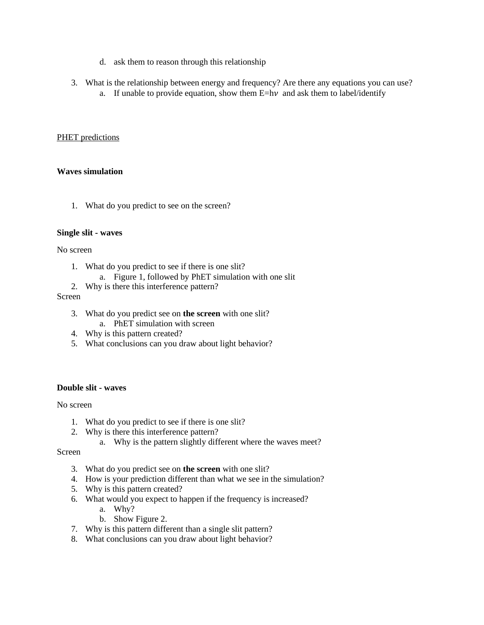- d. ask them to reason through this relationship
- 3. What is the relationship between energy and frequency? Are there any equations you can use? a. If unable to provide equation, show them  $E=h\nu$  and ask them to label/identify

#### PHET predictions

#### **Waves simulation**

1. What do you predict to see on the screen?

#### **Single slit - waves**

#### No screen

- 1. What do you predict to see if there is one slit?
	- a. Figure 1, followed by PhET simulation with one slit
- 2. Why is there this interference pattern?

#### Screen

- 3. What do you predict see on **the screen** with one slit? a. PhET simulation with screen
- 4. Why is this pattern created?
- 5. What conclusions can you draw about light behavior?

# **Double slit - waves**

No screen

- 1. What do you predict to see if there is one slit?
- 2. Why is there this interference pattern?
	- a. Why is the pattern slightly different where the waves meet?

Screen

- 3. What do you predict see on **the screen** with one slit?
- 4. How is your prediction different than what we see in the simulation?
- 5. Why is this pattern created?
- 6. What would you expect to happen if the frequency is increased?
	- a. Why?
	- b. Show Figure 2.
- 7. Why is this pattern different than a single slit pattern?
- 8. What conclusions can you draw about light behavior?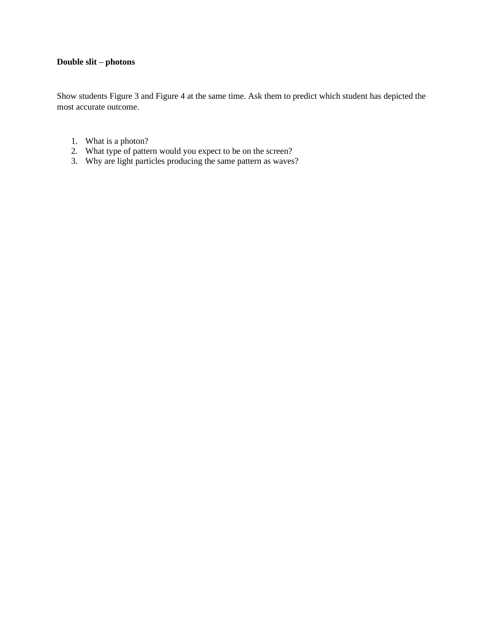# **Double slit – photons**

Show students Figure 3 and Figure 4 at the same time. Ask them to predict which student has depicted the most accurate outcome.

- 1. What is a photon?
- 2. What type of pattern would you expect to be on the screen?
- 3. Why are light particles producing the same pattern as waves?